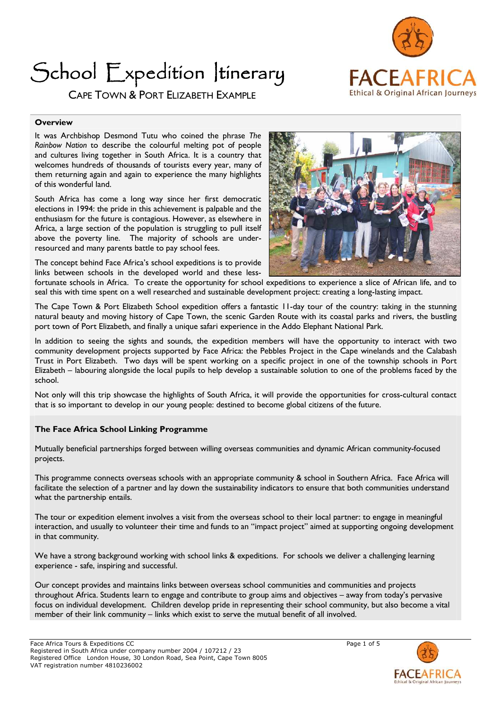

# School Expedition Itinerary

CAPE TOWN & PORT ELIZABETH EXAMPLE

## **Overview**

It was Archbishop Desmond Tutu who coined the phrase The Rainbow Nation to describe the colourful melting pot of people and cultures living together in South Africa. It is a country that welcomes hundreds of thousands of tourists every year, many of them returning again and again to experience the many highlights of this wonderful land.

South Africa has come a long way since her first democratic elections in 1994: the pride in this achievement is palpable and the enthusiasm for the future is contagious. However, as elsewhere in Africa, a large section of the population is struggling to pull itself above the poverty line. The majority of schools are underresourced and many parents battle to pay school fees.

The concept behind Face Africa's school expeditions is to provide links between schools in the developed world and these less-



fortunate schools in Africa. To create the opportunity for school expeditions to experience a slice of African life, and to seal this with time spent on a well researched and sustainable development project: creating a long-lasting impact.

The Cape Town & Port Elizabeth School expedition offers a fantastic 11-day tour of the country: taking in the stunning natural beauty and moving history of Cape Town, the scenic Garden Route with its coastal parks and rivers, the bustling port town of Port Elizabeth, and finally a unique safari experience in the Addo Elephant National Park.

In addition to seeing the sights and sounds, the expedition members will have the opportunity to interact with two community development projects supported by Face Africa: the Pebbles Project in the Cape winelands and the Calabash Trust in Port Elizabeth. Two days will be spent working on a specific project in one of the township schools in Port Elizabeth – labouring alongside the local pupils to help develop a sustainable solution to one of the problems faced by the school.

Not only will this trip showcase the highlights of South Africa, it will provide the opportunities for cross-cultural contact that is so important to develop in our young people: destined to become global citizens of the future.

## The Face Africa School Linking Programme

Mutually beneficial partnerships forged between willing overseas communities and dynamic African community-focused projects.

This programme connects overseas schools with an appropriate community & school in Southern Africa. Face Africa will facilitate the selection of a partner and lay down the sustainability indicators to ensure that both communities understand what the partnership entails.

The tour or expedition element involves a visit from the overseas school to their local partner: to engage in meaningful interaction, and usually to volunteer their time and funds to an "impact project" aimed at supporting ongoing development in that community.

We have a strong background working with school links & expeditions. For schools we deliver a challenging learning experience - safe, inspiring and successful.

Our concept provides and maintains links between overseas school communities and communities and projects throughout Africa. Students learn to engage and contribute to group aims and objectives – away from today's pervasive focus on individual development. Children develop pride in representing their school community, but also become a vital member of their link community – links which exist to serve the mutual benefit of all involved.

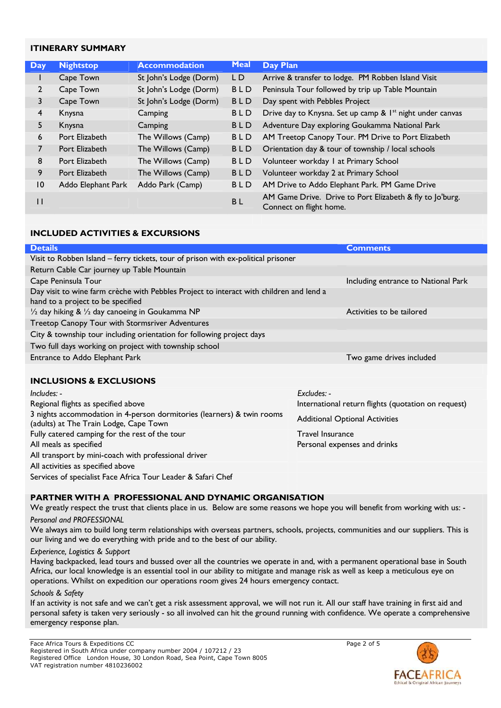## ITINERARY SUMMARY

| <b>Day</b>      | <b>Nightstop</b>   | <b>Accommodation</b>   | <b>Meal</b> | <b>Day Plan</b>                                                                     |
|-----------------|--------------------|------------------------|-------------|-------------------------------------------------------------------------------------|
|                 | Cape Town          | St John's Lodge (Dorm) | LD.         | Arrive & transfer to lodge. PM Robben Island Visit                                  |
| 2               | Cape Town          | St John's Lodge (Dorm) | <b>BLD</b>  | Peninsula Tour followed by trip up Table Mountain                                   |
| 3               | Cape Town          | St John's Lodge (Dorm) | <b>BLD</b>  | Day spent with Pebbles Project                                                      |
| 4               | Knysna             | Camping                | <b>BLD</b>  | Drive day to Knysna. Set up camp & I <sup>st</sup> night under canvas               |
| 5.              | Knysna             | Camping                | <b>BLD</b>  | Adventure Day exploring Goukamma National Park                                      |
| 6               | Port Elizabeth     | The Willows (Camp)     | <b>BLD</b>  | AM Treetop Canopy Tour. PM Drive to Port Elizabeth                                  |
| $\overline{7}$  | Port Elizabeth     | The Willows (Camp)     | <b>BLD</b>  | Orientation day & tour of township / local schools                                  |
| 8               | Port Elizabeth     | The Willows (Camp)     | <b>BLD</b>  | Volunteer workday I at Primary School                                               |
| 9               | Port Elizabeth     | The Willows (Camp)     | <b>BLD</b>  | Volunteer workday 2 at Primary School                                               |
| $\overline{10}$ | Addo Elephant Park | Addo Park (Camp)       | <b>BLD</b>  | AM Drive to Addo Elephant Park. PM Game Drive                                       |
| $\mathsf{H}$    |                    |                        | B L         | AM Game Drive. Drive to Port Elizabeth & fly to Jo'burg.<br>Connect on flight home. |

## INCLUDED ACTIVITIES & EXCURSIONS

| <b>Details</b>                                                                                                               | <b>Comments</b>                     |  |  |  |  |
|------------------------------------------------------------------------------------------------------------------------------|-------------------------------------|--|--|--|--|
| Visit to Robben Island - ferry tickets, tour of prison with ex-political prisoner                                            |                                     |  |  |  |  |
| Return Cable Car journey up Table Mountain                                                                                   |                                     |  |  |  |  |
| Cape Peninsula Tour                                                                                                          | Including entrance to National Park |  |  |  |  |
| Day visit to wine farm crèche with Pebbles Project to interact with children and lend a<br>hand to a project to be specified |                                     |  |  |  |  |
| $\frac{1}{2}$ day hiking & $\frac{1}{2}$ day canoeing in Goukamma NP                                                         | Activities to be tailored           |  |  |  |  |
| Treetop Canopy Tour with Stormsriver Adventures                                                                              |                                     |  |  |  |  |
| City & township tour including orientation for following project days                                                        |                                     |  |  |  |  |
| Two full days working on project with township school                                                                        |                                     |  |  |  |  |
| Entrance to Addo Elephant Park                                                                                               | Two game drives included            |  |  |  |  |
|                                                                                                                              |                                     |  |  |  |  |
| <b>INCLUSIONS &amp; EXCLUSIONS</b>                                                                                           |                                     |  |  |  |  |

| Includes: -                                                                                                      | $Excludes -$                                        |
|------------------------------------------------------------------------------------------------------------------|-----------------------------------------------------|
| Regional flights as specified above                                                                              | International return flights (quotation on request) |
| 3 nights accommodation in 4-person dormitories (learners) & twin rooms<br>(adults) at The Train Lodge, Cape Town | <b>Additional Optional Activities</b>               |
| Fully catered camping for the rest of the tour                                                                   | <b>Travel Insurance</b>                             |
| All meals as specified                                                                                           | Personal expenses and drinks                        |
| All transport by mini-coach with professional driver                                                             |                                                     |
| All activities as specified above                                                                                |                                                     |
| Services of specialist Face Africa Tour Leader & Safari Chef                                                     |                                                     |
|                                                                                                                  |                                                     |

## PARTNER WITH A PROFESSIONAL AND DYNAMIC ORGANISATION

We greatly respect the trust that clients place in us. Below are some reasons we hope you will benefit from working with us: - Personal and PROFESSIONAL

We always aim to build long term relationships with overseas partners, schools, projects, communities and our suppliers. This is our living and we do everything with pride and to the best of our ability.

Experience, Logistics & Support

Having backpacked, lead tours and bussed over all the countries we operate in and, with a permanent operational base in South Africa, our local knowledge is an essential tool in our ability to mitigate and manage risk as well as keep a meticulous eye on operations. Whilst on expedition our operations room gives 24 hours emergency contact.

Schools & Safety

If an activity is not safe and we can't get a risk assessment approval, we will not run it. All our staff have training in first aid and personal safety is taken very seriously - so all involved can hit the ground running with confidence. We operate a comprehensive emergency response plan.

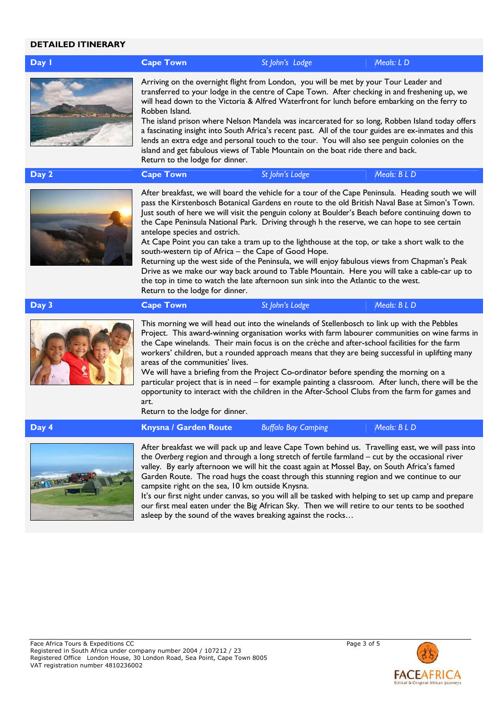## DETAILED ITINERARY

| Day I | <b>Cape Town</b> | St John's Lodge | Meals: LD |
|-------|------------------|-----------------|-----------|
|       |                  |                 |           |



Return to the lodge for dinner.

| Day 2 | <b>Cape Town</b> | St John's Lodge | $\blacksquare$ Meals: $BLD$ |
|-------|------------------|-----------------|-----------------------------|
|-------|------------------|-----------------|-----------------------------|



After breakfast, we will board the vehicle for a tour of the Cape Peninsula. Heading south we will pass the Kirstenbosch Botanical Gardens en route to the old British Naval Base at Simon's Town. Just south of here we will visit the penguin colony at Boulder's Beach before continuing down to the Cape Peninsula National Park. Driving through h the reserve, we can hope to see certain antelope species and ostrich.

At Cape Point you can take a tram up to the lighthouse at the top, or take a short walk to the south-western tip of Africa – the Cape of Good Hope.

Returning up the west side of the Peninsula, we will enjoy fabulous views from Chapman's Peak Drive as we make our way back around to Table Mountain. Here you will take a cable-car up to the top in time to watch the late afternoon sun sink into the Atlantic to the west. Return to the lodge for dinner.

| Day 3 | <b>Cape Town</b> | St John's Lodge | Meals: B L D |  |
|-------|------------------|-----------------|--------------|--|
|-------|------------------|-----------------|--------------|--|



This morning we will head out into the winelands of Stellenbosch to link up with the Pebbles Project. This award-winning organisation works with farm labourer communities on wine farms in the Cape winelands. Their main focus is on the crèche and after-school facilities for the farm workers' children, but a rounded approach means that they are being successful in uplifting many areas of the communities' lives.

We will have a briefing from the Project Co-ordinator before spending the morning on a particular project that is in need – for example painting a classroom. After lunch, there will be the opportunity to interact with the children in the After-School Clubs from the farm for games and art.

Return to the lodge for dinner.

Day 4 **Knysna / Garden Route** Buffalo Bay Camping Meals: B L D



After breakfast we will pack up and leave Cape Town behind us. Travelling east, we will pass into the Overberg region and through a long stretch of fertile farmland – cut by the occasional river valley. By early afternoon we will hit the coast again at Mossel Bay, on South Africa's famed Garden Route. The road hugs the coast through this stunning region and we continue to our campsite right on the sea, 10 km outside Knysna.

It's our first night under canvas, so you will all be tasked with helping to set up camp and prepare our first meal eaten under the Big African Sky. Then we will retire to our tents to be soothed asleep by the sound of the waves breaking against the rocks…



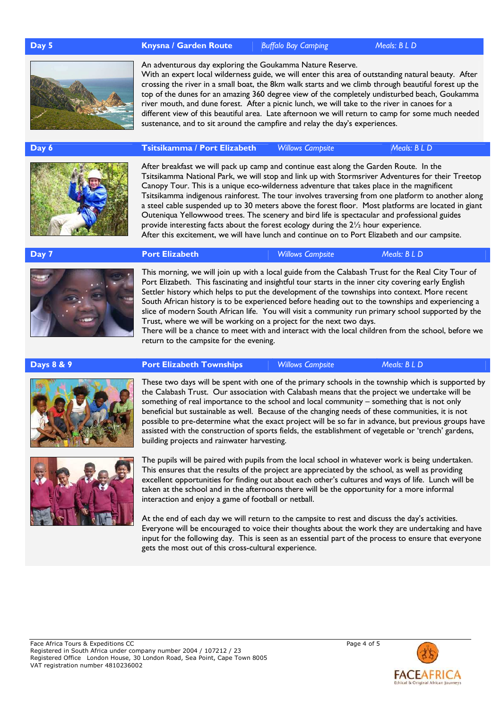## Day 5 **Knysna / Garden Route** Buffalo Bay Camping Meals: B L D



An adventurous day exploring the Goukamma Nature Reserve.

With an expert local wilderness guide, we will enter this area of outstanding natural beauty. After crossing the river in a small boat, the 8km walk starts and we climb through beautiful forest up the top of the dunes for an amazing 360 degree view of the completely undisturbed beach, Goukamma river mouth, and dune forest. After a picnic lunch, we will take to the river in canoes for a different view of this beautiful area. Late afternoon we will return to camp for some much needed sustenance, and to sit around the campfire and relay the day's experiences.

## Day 6 **Tsitsikamma / Port Elizabeth** Willows Campsite Meals: B L D



After breakfast we will pack up camp and continue east along the Garden Route. In the Tsitsikamma National Park, we will stop and link up with Stormsriver Adventures for their Treetop Canopy Tour. This is a unique eco-wilderness adventure that takes place in the magnificent Tsitsikamma indigenous rainforest. The tour involves traversing from one platform to another along a steel cable suspended up to 30 meters above the forest floor. Most platforms are located in giant Outeniqua Yellowwood trees. The scenery and bird life is spectacular and professional guides provide interesting facts about the forest ecology during the 2½ hour experience. After this excitement, we will have lunch and continue on to Port Elizabeth and our campsite.

## **Day 7 Port Elizabeth Willows Campsite Meals: B L D Day 7**



This morning, we will join up with a local guide from the Calabash Trust for the Real City Tour of Port Elizabeth. This fascinating and insightful tour starts in the inner city covering early English Settler history which helps to put the development of the townships into context. More recent South African history is to be experienced before heading out to the townships and experiencing a slice of modern South African life. You will visit a community run primary school supported by the Trust, where we will be working on a project for the next two days.

There will be a chance to meet with and interact with the local children from the school, before we return to the campsite for the evening.



**Days 8 & 9 Port Elizabeth Townships** Willows Campsite Meals: BLD

These two days will be spent with one of the primary schools in the township which is supported by the Calabash Trust. Our association with Calabash means that the project we undertake will be something of real importance to the school and local community – something that is not only beneficial but sustainable as well. Because of the changing needs of these communities, it is not possible to pre-determine what the exact project will be so far in advance, but previous groups have assisted with the construction of sports fields, the establishment of vegetable or 'trench' gardens, building projects and rainwater harvesting.



The pupils will be paired with pupils from the local school in whatever work is being undertaken. This ensures that the results of the project are appreciated by the school, as well as providing excellent opportunities for finding out about each other's cultures and ways of life. Lunch will be taken at the school and in the afternoons there will be the opportunity for a more informal interaction and enjoy a game of football or netball.

At the end of each day we will return to the campsite to rest and discuss the day's activities. Everyone will be encouraged to voice their thoughts about the work they are undertaking and have input for the following day. This is seen as an essential part of the process to ensure that everyone gets the most out of this cross-cultural experience.